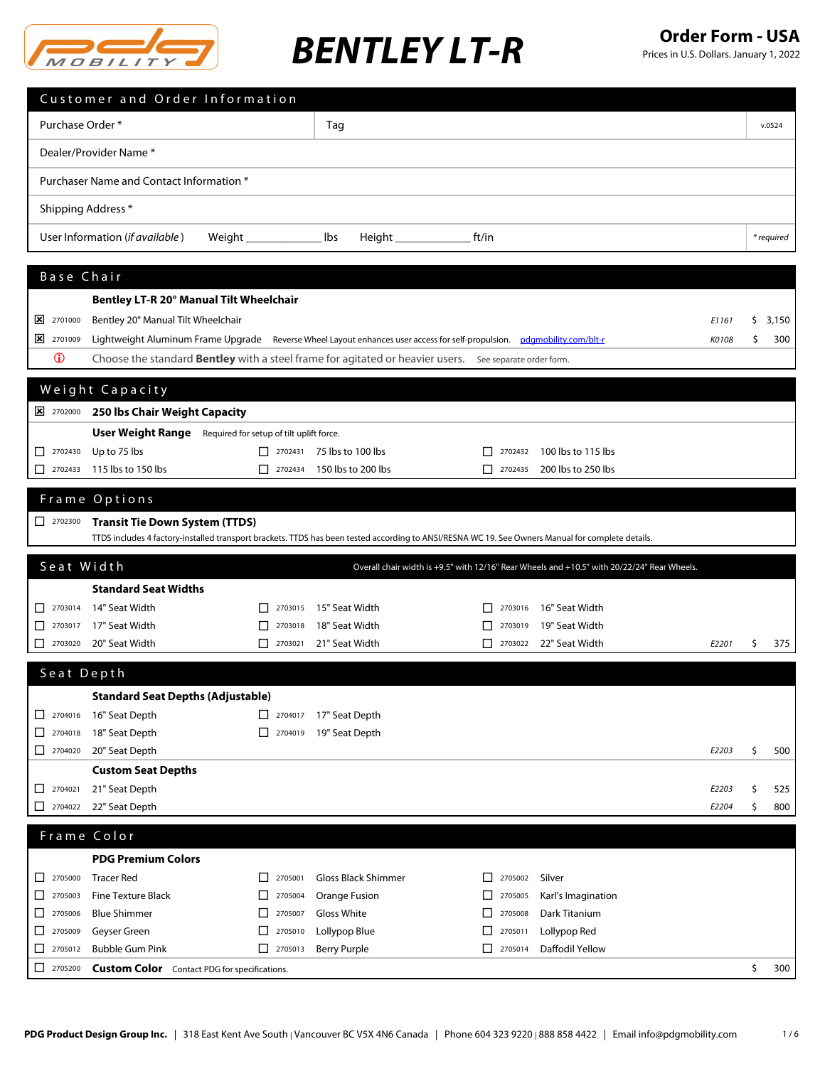

|                                                                           | Customer and Order Information           |                                                            |                                  |                                                                                                                                                   |                    |       |     |            |
|---------------------------------------------------------------------------|------------------------------------------|------------------------------------------------------------|----------------------------------|---------------------------------------------------------------------------------------------------------------------------------------------------|--------------------|-------|-----|------------|
| Purchase Order*                                                           |                                          |                                                            | Tag                              |                                                                                                                                                   |                    |       |     | v.0524     |
|                                                                           | Dealer/Provider Name *                   |                                                            |                                  |                                                                                                                                                   |                    |       |     |            |
|                                                                           | Purchaser Name and Contact Information * |                                                            |                                  |                                                                                                                                                   |                    |       |     |            |
|                                                                           |                                          |                                                            |                                  |                                                                                                                                                   |                    |       |     |            |
| Shipping Address *                                                        |                                          |                                                            |                                  |                                                                                                                                                   |                    |       |     |            |
|                                                                           | User Information (if available)          | Weight $\_$                                                | lbs                              | ft/in<br>Height _______________                                                                                                                   |                    |       |     | * required |
| Base Chair                                                                |                                          |                                                            |                                  |                                                                                                                                                   |                    |       |     |            |
|                                                                           | Bentley LT-R 20° Manual Tilt Wheelchair  |                                                            |                                  |                                                                                                                                                   |                    |       |     |            |
| 2701000                                                                   | Bentley 20° Manual Tilt Wheelchair       |                                                            |                                  |                                                                                                                                                   |                    | E1161 | \$. | 3,150      |
| 2701009                                                                   |                                          |                                                            |                                  | Lightweight Aluminum Frame Upgrade Reverse Wheel Layout enhances user access for self-propulsion. pdgmobility.com/blt-r                           |                    | K0108 | \$  | 300        |
| $\bf \Phi$                                                                |                                          |                                                            |                                  | Choose the standard Bentley with a steel frame for agitated or heavier users. See separate order form.                                            |                    |       |     |            |
|                                                                           |                                          |                                                            |                                  |                                                                                                                                                   |                    |       |     |            |
|                                                                           | Weight Capacity                          |                                                            |                                  |                                                                                                                                                   |                    |       |     |            |
| 2702000                                                                   | 250 Ibs Chair Weight Capacity            |                                                            |                                  |                                                                                                                                                   |                    |       |     |            |
|                                                                           |                                          | User Weight Range Required for setup of tilt uplift force. |                                  |                                                                                                                                                   |                    |       |     |            |
| $\begin{array}{ c c }\n\hline\n\end{array}$ 2702430                       | Up to 75 lbs                             |                                                            | $\Box$ 2702431 75 lbs to 100 lbs | 2702432<br>LΙ                                                                                                                                     | 100 lbs to 115 lbs |       |     |            |
| $\Box$ 2702433                                                            | 115 lbs to 150 lbs                       | l I<br>2702434                                             | 150 lbs to 200 lbs               | $\mathsf{L}$<br>2702435                                                                                                                           | 200 lbs to 250 lbs |       |     |            |
|                                                                           | Frame Options                            |                                                            |                                  |                                                                                                                                                   |                    |       |     |            |
| $\Box$ 2702300                                                            | <b>Transit Tie Down System (TTDS)</b>    |                                                            |                                  |                                                                                                                                                   |                    |       |     |            |
|                                                                           |                                          |                                                            |                                  | TTDS includes 4 factory-installed transport brackets. TTDS has been tested according to ANSI/RESNA WC 19. See Owners Manual for complete details. |                    |       |     |            |
| Seat Width                                                                |                                          |                                                            |                                  | Overall chair width is +9.5" with 12/16" Rear Wheels and +10.5" with 20/22/24" Rear Wheels.                                                       |                    |       |     |            |
|                                                                           | <b>Standard Seat Widths</b>              |                                                            |                                  |                                                                                                                                                   |                    |       |     |            |
| $\Box$ 2703014                                                            | 14" Seat Width                           | 2703015                                                    | 15" Seat Width                   | 2703016                                                                                                                                           | 16" Seat Width     |       |     |            |
| 2703017<br>ப                                                              | 17" Seat Width                           | $\perp$<br>2703018                                         | 18" Seat Width                   | 2703019                                                                                                                                           | 19" Seat Width     |       |     |            |
| □<br>2703020                                                              | 20" Seat Width                           | 2703021                                                    | 21" Seat Width                   | П<br>2703022                                                                                                                                      | 22" Seat Width     | E2201 | Ŝ.  | 375        |
| Seat Depth                                                                |                                          |                                                            |                                  |                                                                                                                                                   |                    |       |     |            |
|                                                                           | <b>Standard Seat Depths (Adjustable)</b> |                                                            |                                  |                                                                                                                                                   |                    |       |     |            |
| $\boxed{\phantom{000}}$ 2704016                                           | 16" Seat Depth                           | $\Box$ 2704017                                             | 17" Seat Depth                   |                                                                                                                                                   |                    |       |     |            |
| □<br>2704018                                                              | 18" Seat Depth                           | 2704019                                                    | 19" Seat Depth                   |                                                                                                                                                   |                    |       |     |            |
| $2704020$                                                                 | 20" Seat Depth                           |                                                            |                                  |                                                                                                                                                   |                    | E2203 | \$  | 500        |
|                                                                           | <b>Custom Seat Depths</b>                |                                                            |                                  |                                                                                                                                                   |                    |       |     |            |
| $\Box$<br>2704021                                                         | 21" Seat Depth                           |                                                            |                                  |                                                                                                                                                   |                    | E2203 | \$  | 525        |
| $2704022$                                                                 | 22" Seat Depth                           |                                                            |                                  |                                                                                                                                                   |                    | E2204 | \$  | 800        |
| Frame Color                                                               |                                          |                                                            |                                  |                                                                                                                                                   |                    |       |     |            |
|                                                                           | <b>PDG Premium Colors</b>                |                                                            |                                  |                                                                                                                                                   |                    |       |     |            |
| $\begin{array}{ c c c c c } \hline \quad & 2705000 \\ \hline \end{array}$ | <b>Tracer Red</b>                        | 2705001<br>$\perp$                                         | <b>Gloss Black Shimmer</b>       | 2705002<br>$\mathsf{L}$                                                                                                                           | Silver             |       |     |            |
| $\boxed{\phantom{000}}$ 2705003                                           | <b>Fine Texture Black</b>                | 2705004<br>⊔                                               | Orange Fusion                    | 2705005<br>ப                                                                                                                                      | Karl's Imagination |       |     |            |
| 2705006<br>ப                                                              | <b>Blue Shimmer</b>                      | 2705007<br>$\mathbf{L}$                                    | Gloss White                      | 2705008<br>ΙI                                                                                                                                     | Dark Titanium      |       |     |            |
| $\begin{array}{ c c }\n\hline\n\end{array}$ 2705009                       | Geyser Green                             | 2705010                                                    | Lollypop Blue                    | 2705011                                                                                                                                           | Lollypop Red       |       |     |            |

<sup>2705200</sup> **Custom Color** Contact PDG for specifications. \$ 300

<sup>2705012</sup> Bubble Gum Pink <sup>2705013</sup> Berry Purple <sup>2705014</sup> Daffodil Yellow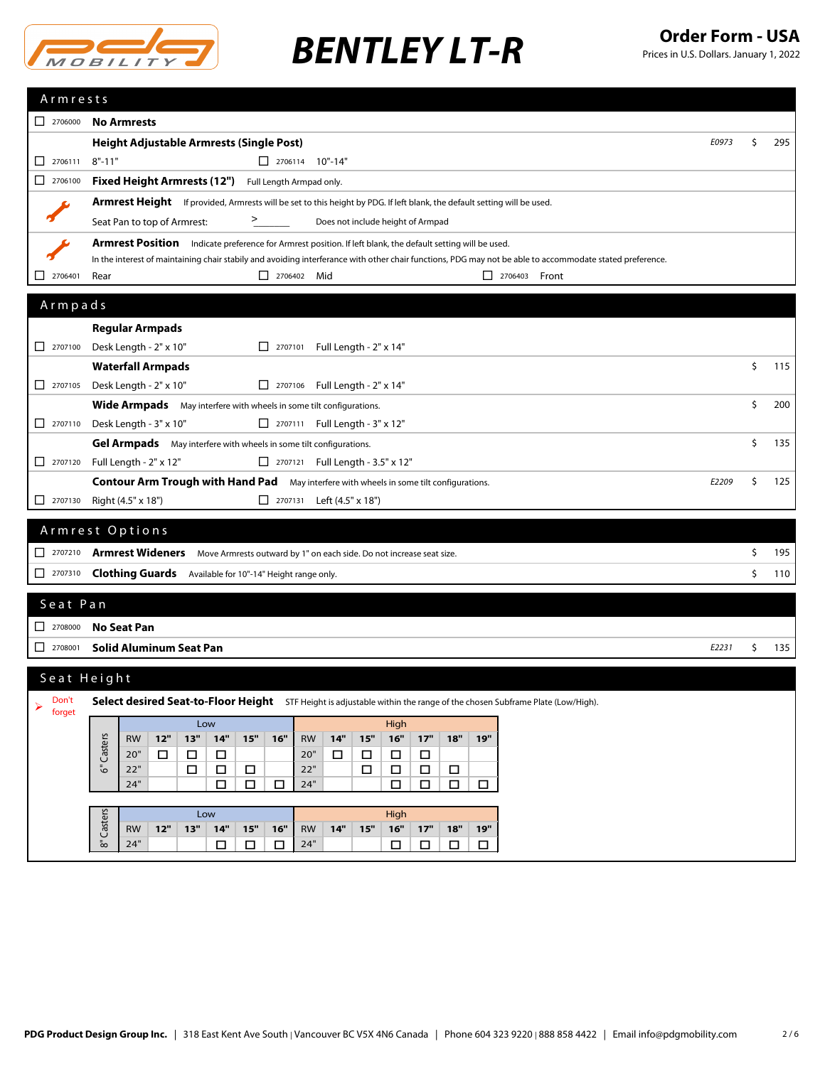

| Armrests                                                                    |                                                                                                                                                          |       |           |
|-----------------------------------------------------------------------------|----------------------------------------------------------------------------------------------------------------------------------------------------------|-------|-----------|
| $2706000$                                                                   | <b>No Armrests</b>                                                                                                                                       |       |           |
|                                                                             | <b>Height Adjustable Armrests (Single Post)</b>                                                                                                          | E0973 | \$<br>295 |
| 2706111<br>$\mathsf{L}$                                                     | $8" - 11"$<br>$\Box$ 2706114 10"-14"                                                                                                                     |       |           |
| $\boxed{\phantom{0}}$ 2706100                                               | Fixed Height Armrests (12") Full Length Armpad only.                                                                                                     |       |           |
|                                                                             | <b>Armrest Height</b> If provided, Armrests will be set to this height by PDG. If left blank, the default setting will be used.                          |       |           |
|                                                                             | Seat Pan to top of Armrest:<br>><br>Does not include height of Armpad                                                                                    |       |           |
|                                                                             | <b>Armrest Position</b> Indicate preference for Armrest position. If left blank, the default setting will be used.                                       |       |           |
|                                                                             | In the interest of maintaining chair stabily and avoiding interferance with other chair functions, PDG may not be able to accommodate stated preference. |       |           |
| 2706401                                                                     | $\Box$ 2706402 Mid<br>$2706403$ Front<br>Rear                                                                                                            |       |           |
| Armpads                                                                     |                                                                                                                                                          |       |           |
|                                                                             | <b>Regular Armpads</b>                                                                                                                                   |       |           |
| $\begin{array}{ c c c c c } \hline \quad 2707100 \end{array}$               | Desk Length - 2" x 10"<br>Full Length - 2" x 14"<br>$\begin{array}{ c c c c c } \hline \quad & 2707101 \end{array}$                                      |       |           |
|                                                                             | <b>Waterfall Armpads</b>                                                                                                                                 |       | \$<br>115 |
| $\begin{array}{ c c c c c c } \hline \quad & 2707105 \\ \hline \end{array}$ | Desk Length - 2" x 10"<br>$\Box$ 2707106 Full Length - 2" x 14"                                                                                          |       |           |
|                                                                             | <b>Wide Armpads</b> May interfere with wheels in some tilt configurations.                                                                               |       | \$<br>200 |
| $\Box$ 2707110                                                              | □ 2707111 Full Length - 3" x 12"<br>Desk Length - 3" x 10"                                                                                               |       |           |
|                                                                             | Gel Armpads May interfere with wheels in some tilt configurations.                                                                                       |       | \$<br>135 |
| $\begin{array}{ c c c c c } \hline \quad 2707120 \end{array}$               | Full Length - 2" x 12"<br>2707121 Full Length - 3.5" x 12"                                                                                               |       |           |
|                                                                             | <b>Contour Arm Trough with Hand Pad</b> May interfere with wheels in some tilt configurations.                                                           | E2209 | \$<br>125 |
| $\Box$ 2707130                                                              | Right (4.5" x 18")<br>□ 2707131 Left (4.5" x 18")                                                                                                        |       |           |
|                                                                             | Armrest Options                                                                                                                                          |       |           |
|                                                                             | □ 2707210 <b>Armrest Wideners</b> Move Armrests outward by 1" on each side. Do not increase seat size.                                                   |       | \$<br>195 |
| $\Box$ 2707310                                                              | Clothing Guards Available for 10"-14" Height range only.                                                                                                 |       | \$<br>110 |
|                                                                             |                                                                                                                                                          |       |           |
| Seat Pan                                                                    |                                                                                                                                                          |       |           |
| $\begin{array}{ c c }\n\hline\n2708000\n\end{array}$                        | <b>No Seat Pan</b>                                                                                                                                       |       |           |
| П<br>2708001                                                                | <b>Solid Aluminum Seat Pan</b>                                                                                                                           | E2231 | \$<br>135 |
|                                                                             | Seat Height                                                                                                                                              |       |           |
| Don't                                                                       | Select desired Seat-to-Floor Height STF Height is adjustable within the range of the chosen Subframe Plate (Low/High).                                   |       |           |
| ⋗<br>forget                                                                 |                                                                                                                                                          |       |           |
|                                                                             | High<br>Low<br>$16"$<br>$12"$<br>13"<br>$14"$<br>$15"$<br>16"<br><b>RW</b><br>14"<br>$17"$<br>$18"$<br>19"<br><b>RW</b><br>15"                           |       |           |
|                                                                             | Casters<br>20"<br>20"<br>$\Box$<br>$\Box$<br>$\Box$<br>$\Box$<br>$\Box$<br>$\Box$<br>$\Box$                                                              |       |           |
|                                                                             | قً<br>22"<br>22"<br>$\Box$<br>$\Box$<br>$\Box$<br>$\Box$<br>$\Box$<br>$\Box$<br>$\Box$                                                                   |       |           |
|                                                                             | 24"<br>$\Box$<br>$\Box$<br>24"<br>$\Box$<br>$\Box$<br>$\Box$<br>$\Box$<br>$\Box$                                                                         |       |           |
|                                                                             | Casters<br>Low<br>High                                                                                                                                   |       |           |
|                                                                             | $15"$<br>14"<br>$15"$<br>$16"$<br>$17"$<br>18"<br>19"<br>12"<br>13"<br>14"<br>16"<br><b>RW</b><br><b>RW</b><br>్∞                                        |       |           |
|                                                                             | 24"<br>24"<br>$\Box$<br>$\Box$<br>$\Box$<br>$\Box$<br>□<br>$\Box$<br>$\Box$                                                                              |       |           |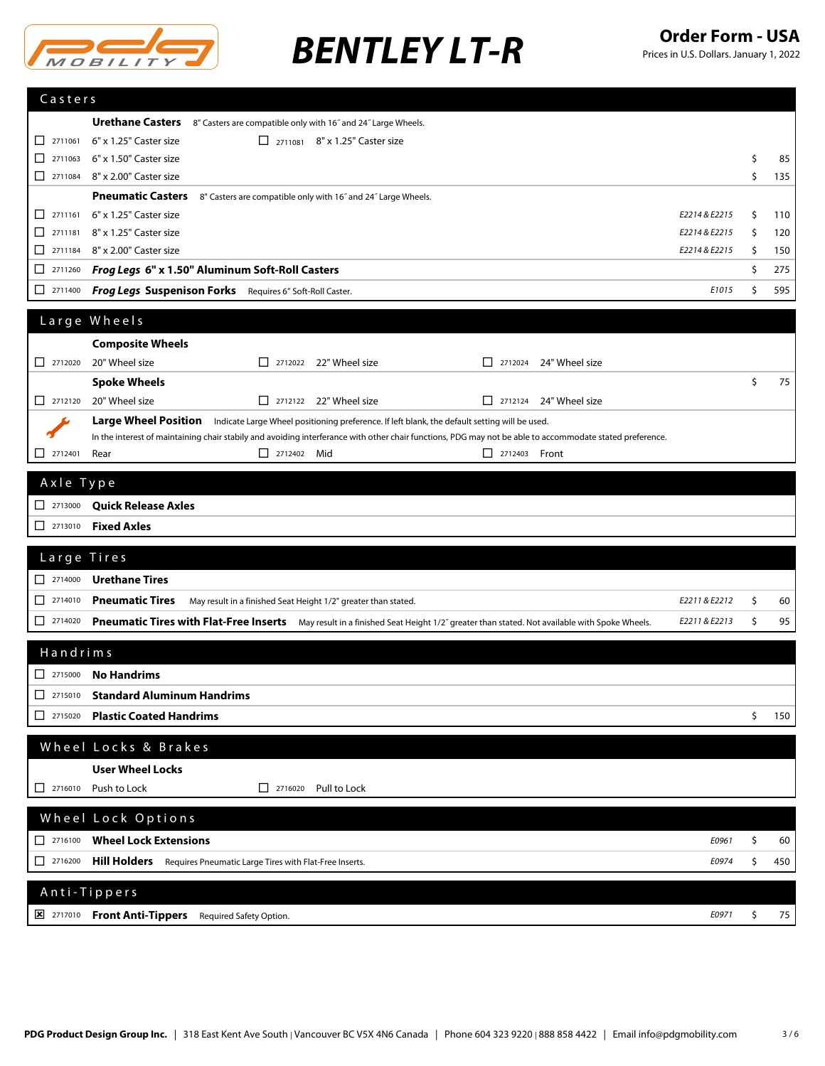

| Casters                                                                     |                                                                                                                                                                                                                                                           |          |            |
|-----------------------------------------------------------------------------|-----------------------------------------------------------------------------------------------------------------------------------------------------------------------------------------------------------------------------------------------------------|----------|------------|
|                                                                             |                                                                                                                                                                                                                                                           |          |            |
| $\boxed{\phantom{000}}$ 2711061                                             | <b>Urethane Casters</b> 8" Casters are compatible only with 16" and 24" Large Wheels.<br>6" x 1.25" Caster size                                                                                                                                           |          |            |
| $\boxed{\phantom{0}}$ 2711063                                               | □ 2711081 8" x 1.25" Caster size<br>6" x 1.50" Caster size                                                                                                                                                                                                | \$       | 85         |
| $\boxed{\phantom{000}}$ 2711084                                             | 8" x 2.00" Caster size                                                                                                                                                                                                                                    | \$       | 135        |
|                                                                             | <b>Pneumatic Casters</b>                                                                                                                                                                                                                                  |          |            |
|                                                                             | 8" Casters are compatible only with 16" and 24" Large Wheels.                                                                                                                                                                                             |          |            |
| $\Box$<br>2711161<br>$\Box$ 2711181                                         | 6" x 1.25" Caster size<br>E2214 & E2215<br>8" x 1.25" Caster size                                                                                                                                                                                         | \$       | 110        |
| $\boxed{\phantom{000}}$ 2711184                                             | E2214 & E2215<br>8" x 2.00" Caster size<br>E2214 & E2215                                                                                                                                                                                                  | \$<br>\$ | 120<br>150 |
| □<br>2711260                                                                | Frog Legs 6" x 1.50" Aluminum Soft-Roll Casters                                                                                                                                                                                                           | \$       | 275        |
|                                                                             |                                                                                                                                                                                                                                                           |          |            |
| 2711400                                                                     | Frog Legs Suspenison Forks Requires 6" Soft-Roll Caster.<br>E1015                                                                                                                                                                                         | \$       | 595        |
|                                                                             | Large Wheels                                                                                                                                                                                                                                              |          |            |
|                                                                             | <b>Composite Wheels</b>                                                                                                                                                                                                                                   |          |            |
| $\Box$ 2712020                                                              | 20" Wheel size<br>$\Box$ 2712022 22" Wheel size<br>24" Wheel size<br>$\sqrt{2712024}$                                                                                                                                                                     |          |            |
|                                                                             | <b>Spoke Wheels</b>                                                                                                                                                                                                                                       | \$       | 75         |
|                                                                             | 20" Wheel size<br>$\Box$ 2712122 22" Wheel size<br>$\Box$ 2712124 24" Wheel size                                                                                                                                                                          |          |            |
|                                                                             | <b>Large Wheel Position</b>                                                                                                                                                                                                                               |          |            |
|                                                                             | Indicate Large Wheel positioning preference. If left blank, the default setting will be used.<br>In the interest of maintaining chair stabily and avoiding interferance with other chair functions, PDG may not be able to accommodate stated preference. |          |            |
| 2712401<br>ΙI                                                               | 2712402 Mid<br>$\Box$ 2712403 Front<br>Rear                                                                                                                                                                                                               |          |            |
|                                                                             |                                                                                                                                                                                                                                                           |          |            |
| Axle Type                                                                   |                                                                                                                                                                                                                                                           |          |            |
| $\begin{array}{ c c c c c } \hline \quad 2713000 \end{array}$               | <b>Quick Release Axles</b>                                                                                                                                                                                                                                |          |            |
| $\Box$ 2713010                                                              | <b>Fixed Axles</b>                                                                                                                                                                                                                                        |          |            |
|                                                                             |                                                                                                                                                                                                                                                           |          |            |
| Large Tires                                                                 |                                                                                                                                                                                                                                                           |          |            |
| $\begin{array}{ c c c c c } \hline \quad 2714000 \end{array}$               | <b>Urethane Tires</b>                                                                                                                                                                                                                                     |          |            |
| $\begin{array}{ c c c c c c } \hline \quad & 2714010 \\ \hline \end{array}$ | <b>Pneumatic Tires</b><br>E2211 & E2212<br>May result in a finished Seat Height 1/2" greater than stated.                                                                                                                                                 | \$       | 60         |
| $\Box$ 2714020                                                              | Pneumatic Tires with Flat-Free Inserts May result in a finished Seat Height 1/2" greater than stated. Not available with Spoke Wheels.<br>E2211 & E2213                                                                                                   | \$       | 95         |
|                                                                             |                                                                                                                                                                                                                                                           |          |            |
| Handrims                                                                    |                                                                                                                                                                                                                                                           |          |            |
| $\begin{array}{ c c c c c } \hline \quad & 2715000 \end{array}$             | No Handrims                                                                                                                                                                                                                                               |          |            |
| □<br>2715010                                                                | <b>Standard Aluminum Handrims</b>                                                                                                                                                                                                                         |          |            |
| ப<br>2715020                                                                | <b>Plastic Coated Handrims</b>                                                                                                                                                                                                                            | \$       | 150        |
|                                                                             | Wheel Locks & Brakes                                                                                                                                                                                                                                      |          |            |
|                                                                             |                                                                                                                                                                                                                                                           |          |            |
|                                                                             | <b>User Wheel Locks</b>                                                                                                                                                                                                                                   |          |            |
| 2716010<br>l I                                                              | Push to Lock<br>$\Box$ 2716020<br>Pull to Lock                                                                                                                                                                                                            |          |            |
|                                                                             | Wheel Lock Options                                                                                                                                                                                                                                        |          |            |
| $\begin{array}{ c c c c c } \hline \quad & 2716100 \end{array}$             | <b>Wheel Lock Extensions</b>                                                                                                                                                                                                                              |          |            |
|                                                                             | E0961                                                                                                                                                                                                                                                     | \$       | 60         |
| ப<br>2716200                                                                | Hill Holders<br>E0974<br>Requires Pneumatic Large Tires with Flat-Free Inserts.                                                                                                                                                                           | \$       | 450        |
|                                                                             | Anti-Tippers                                                                                                                                                                                                                                              |          |            |
|                                                                             |                                                                                                                                                                                                                                                           |          |            |
|                                                                             | <b>E</b> 2717010 <b>Front Anti-Tippers</b><br>E0971<br>Required Safety Option.                                                                                                                                                                            | \$       | 75         |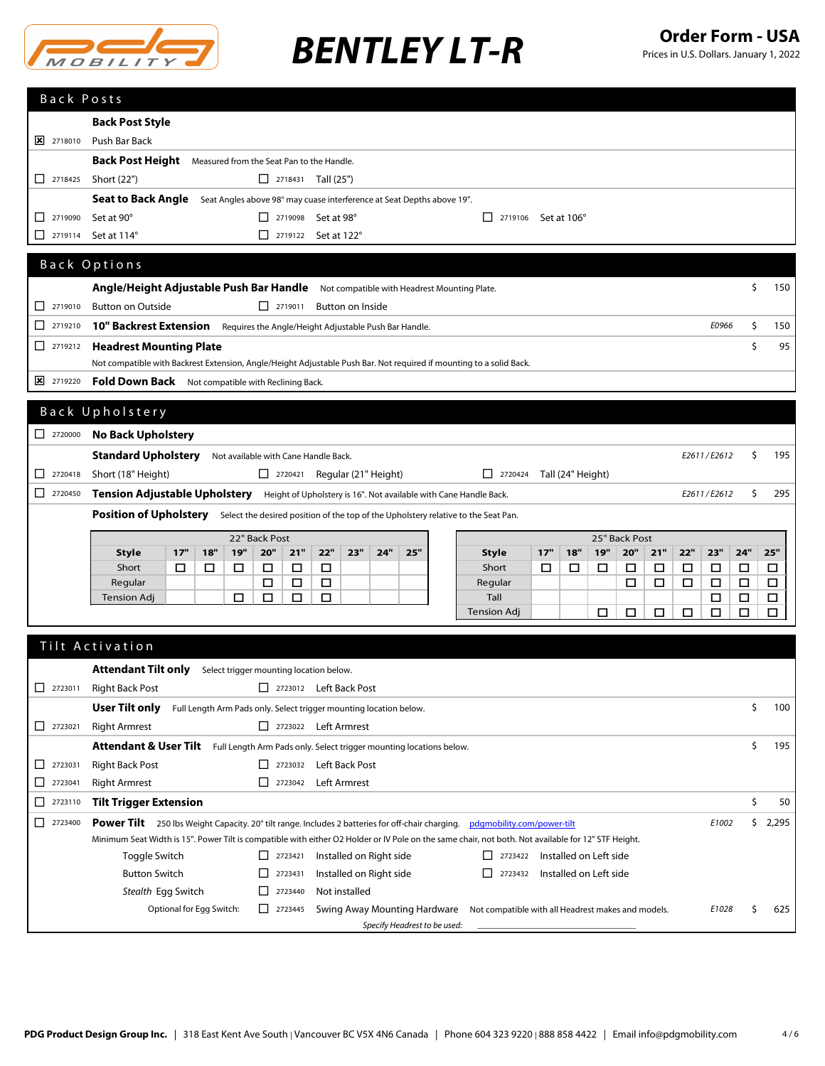

| Back Posts                                           |                                                                                                           |     |     |        |                                                                        |        |                         |     |     |                                                                                                                     |     |                   |     |               |     |        |             |        |        |
|------------------------------------------------------|-----------------------------------------------------------------------------------------------------------|-----|-----|--------|------------------------------------------------------------------------|--------|-------------------------|-----|-----|---------------------------------------------------------------------------------------------------------------------|-----|-------------------|-----|---------------|-----|--------|-------------|--------|--------|
|                                                      | <b>Back Post Style</b>                                                                                    |     |     |        |                                                                        |        |                         |     |     |                                                                                                                     |     |                   |     |               |     |        |             |        |        |
| $\sqrt{2}$ 2718010                                   | Push Bar Back                                                                                             |     |     |        |                                                                        |        |                         |     |     |                                                                                                                     |     |                   |     |               |     |        |             |        |        |
|                                                      | <b>Back Post Height</b>                                                                                   |     |     |        | Measured from the Seat Pan to the Handle.                              |        |                         |     |     |                                                                                                                     |     |                   |     |               |     |        |             |        |        |
| $\Box$ 2718425                                       | Short (22")                                                                                               |     |     |        | $\Box$ 2718431 Tall (25")                                              |        |                         |     |     |                                                                                                                     |     |                   |     |               |     |        |             |        |        |
|                                                      | <b>Seat to Back Angle</b>                                                                                 |     |     |        | Seat Angles above 98° may cuase interference at Seat Depths above 19". |        |                         |     |     |                                                                                                                     |     |                   |     |               |     |        |             |        |        |
| 2719090<br>Π.                                        | Set at 90°                                                                                                |     |     |        | $\Box$ 2719098 Set at 98°                                              |        |                         |     |     | $\Box$ 2719106 Set at 106°                                                                                          |     |                   |     |               |     |        |             |        |        |
| 2719114<br>□                                         | Set at 114°                                                                                               |     |     |        | $\Box$ 2719122 Set at 122°                                             |        |                         |     |     |                                                                                                                     |     |                   |     |               |     |        |             |        |        |
|                                                      |                                                                                                           |     |     |        |                                                                        |        |                         |     |     |                                                                                                                     |     |                   |     |               |     |        |             |        |        |
|                                                      | Back Options                                                                                              |     |     |        |                                                                        |        |                         |     |     |                                                                                                                     |     |                   |     |               |     |        |             |        |        |
|                                                      | Angle/Height Adjustable Push Bar Handle Not compatible with Headrest Mounting Plate.                      |     |     |        |                                                                        |        |                         |     |     |                                                                                                                     |     |                   |     |               |     |        |             | \$     | 150    |
| $\Box$ 2719010                                       | <b>Button on Outside</b>                                                                                  |     |     |        | $\Box$ 2719011                                                         |        | <b>Button on Inside</b> |     |     |                                                                                                                     |     |                   |     |               |     |        |             |        |        |
| п<br>2719210                                         | 10" Backrest Extension Requires the Angle/Height Adjustable Push Bar Handle.                              |     |     |        |                                                                        |        |                         |     |     |                                                                                                                     |     |                   |     |               |     |        | E0966       | \$     | 150    |
| $\Box$ 2719212                                       | <b>Headrest Mounting Plate</b>                                                                            |     |     |        |                                                                        |        |                         |     |     |                                                                                                                     |     |                   |     |               |     |        |             | \$     | 95     |
|                                                      |                                                                                                           |     |     |        |                                                                        |        |                         |     |     | Not compatible with Backrest Extension, Angle/Height Adjustable Push Bar. Not required if mounting to a solid Back. |     |                   |     |               |     |        |             |        |        |
| 2719220                                              | Fold Down Back Not compatible with Reclining Back.                                                        |     |     |        |                                                                        |        |                         |     |     |                                                                                                                     |     |                   |     |               |     |        |             |        |        |
|                                                      |                                                                                                           |     |     |        |                                                                        |        |                         |     |     |                                                                                                                     |     |                   |     |               |     |        |             |        |        |
|                                                      | Back Upholstery                                                                                           |     |     |        |                                                                        |        |                         |     |     |                                                                                                                     |     |                   |     |               |     |        |             |        |        |
| $\begin{array}{ c c }\n\hline\n2720000\n\end{array}$ | <b>No Back Upholstery</b>                                                                                 |     |     |        |                                                                        |        |                         |     |     |                                                                                                                     |     |                   |     |               |     |        |             |        |        |
|                                                      | <b>Standard Upholstery</b>                                                                                |     |     |        | Not available with Cane Handle Back.                                   |        |                         |     |     |                                                                                                                     |     |                   |     |               |     |        | E2611/E2612 | Ŝ.     | 195    |
| 2720418<br>П.                                        | Short (18" Height)                                                                                        |     |     |        | $\Box$ 2720421 Regular (21" Height)                                    |        |                         |     |     | $\Box$ 2720424                                                                                                      |     | Tall (24" Height) |     |               |     |        |             |        |        |
| $\boxed{\phantom{0}}$ 2720450                        | Tension Adjustable Upholstery Height of Upholstery is 16". Not available with Cane Handle Back.           |     |     |        |                                                                        |        |                         |     |     |                                                                                                                     |     |                   |     |               |     |        | E2611/E2612 | Ŝ.     | 295    |
|                                                      | Position of Upholstery Select the desired position of the top of the Upholstery relative to the Seat Pan. |     |     |        |                                                                        |        |                         |     |     |                                                                                                                     |     |                   |     |               |     |        |             |        |        |
|                                                      |                                                                                                           |     |     |        | 22" Back Post                                                          |        |                         |     |     |                                                                                                                     |     |                   |     | 25" Back Post |     |        |             |        |        |
|                                                      | <b>Style</b>                                                                                              | 17" | 18" | 19"    | 20"<br>21"                                                             | 22"    | 23"                     | 24" | 25" | <b>Style</b>                                                                                                        | 17" | 18"               | 19" | 20"           | 21" | 22"    | 23"         | 24"    | 25"    |
|                                                      | Short                                                                                                     | □   | □   | $\Box$ | □<br>□                                                                 | □      |                         |     |     | Short                                                                                                               | □   | □                 | □   | □             | □   | □      | $\Box$      | $\Box$ | $\Box$ |
|                                                      | Regular                                                                                                   |     |     |        | □<br>□                                                                 | $\Box$ |                         |     |     | Regular                                                                                                             |     |                   |     | □             | □   | □      | $\Box$      | $\Box$ | $\Box$ |
|                                                      | <b>Tension Adj</b>                                                                                        |     |     | □      | □<br>□                                                                 | □      |                         |     |     | Tall                                                                                                                |     |                   |     |               |     |        | □           | $\Box$ | $\Box$ |
|                                                      |                                                                                                           |     |     |        |                                                                        |        |                         |     |     | <b>Tension Adj</b>                                                                                                  |     |                   | □   | □             | □   | $\Box$ | □           | □      | $\Box$ |
|                                                      | Tilt Activation                                                                                           |     |     |        |                                                                        |        |                         |     |     |                                                                                                                     |     |                   |     |               |     |        |             |        |        |
|                                                      |                                                                                                           |     |     |        |                                                                        |        |                         |     |     |                                                                                                                     |     |                   |     |               |     |        |             |        |        |
|                                                      | Attendant Tilt only Select trigger mounting location below.                                               |     |     |        |                                                                        |        |                         |     |     |                                                                                                                     |     |                   |     |               |     |        |             |        |        |

|                               | <b>Attendant Tilt only</b>       | Select trigger mounting location below. |                                                                                                                  |                                                                                                                                                     |       |    |       |
|-------------------------------|----------------------------------|-----------------------------------------|------------------------------------------------------------------------------------------------------------------|-----------------------------------------------------------------------------------------------------------------------------------------------------|-------|----|-------|
| $\Box$<br>2723011             | <b>Right Back Post</b>           | П<br>2723012                            | Left Back Post                                                                                                   |                                                                                                                                                     |       |    |       |
|                               | User Tilt only                   |                                         | Full Length Arm Pads only. Select trigger mounting location below.                                               |                                                                                                                                                     |       | S  | 100   |
| $\boxed{\phantom{1}}$ 2723021 | <b>Right Armrest</b>             | 2723022<br>$\perp$                      | Left Armrest                                                                                                     |                                                                                                                                                     |       |    |       |
|                               | <b>Attendant &amp; User Tilt</b> |                                         | Full Length Arm Pads only. Select trigger mounting locations below.                                              |                                                                                                                                                     |       | ς. | 195   |
| 2723031<br>ΙI                 | <b>Right Back Post</b>           | 2723032                                 | Left Back Post                                                                                                   |                                                                                                                                                     |       |    |       |
| 2723041                       | <b>Right Armrest</b>             | $1 \mid 2723042$                        | Left Armrest                                                                                                     |                                                                                                                                                     |       |    |       |
| $\Box$<br>2723110             | <b>Tilt Trigger Extension</b>    |                                         |                                                                                                                  |                                                                                                                                                     |       | Ś  | 50    |
| $\perp$<br>2723400            | Power Tilt                       |                                         | 250 lbs Weight Capacity. 20° tilt range. Includes 2 batteries for off-chair charging. pdgmobility.com/power-tilt |                                                                                                                                                     | E1002 |    | 2,295 |
|                               |                                  |                                         |                                                                                                                  | Minimum Seat Width is 15". Power Tilt is compatible with either O2 Holder or IV Pole on the same chair, not both. Not available for 12" STF Height. |       |    |       |
|                               | Toggle Switch                    | 2723421<br>П                            | Installed on Right side                                                                                          | Installed on Left side<br>2723422                                                                                                                   |       |    |       |
|                               | <b>Button Switch</b>             | 2723431<br>ΙI                           | Installed on Right side                                                                                          | Installed on Left side<br>2723432                                                                                                                   |       |    |       |
|                               | Stealth Egg Switch               | $\perp$<br>2723440                      | Not installed                                                                                                    |                                                                                                                                                     |       |    |       |
|                               | Optional for Egg Switch:         | 2723445<br>$\mathsf{L}$                 | Swing Away Mounting Hardware                                                                                     | Not compatible with all Headrest makes and models.                                                                                                  | E1028 |    | 625   |
|                               |                                  |                                         | Specify Headrest to be used:                                                                                     |                                                                                                                                                     |       |    |       |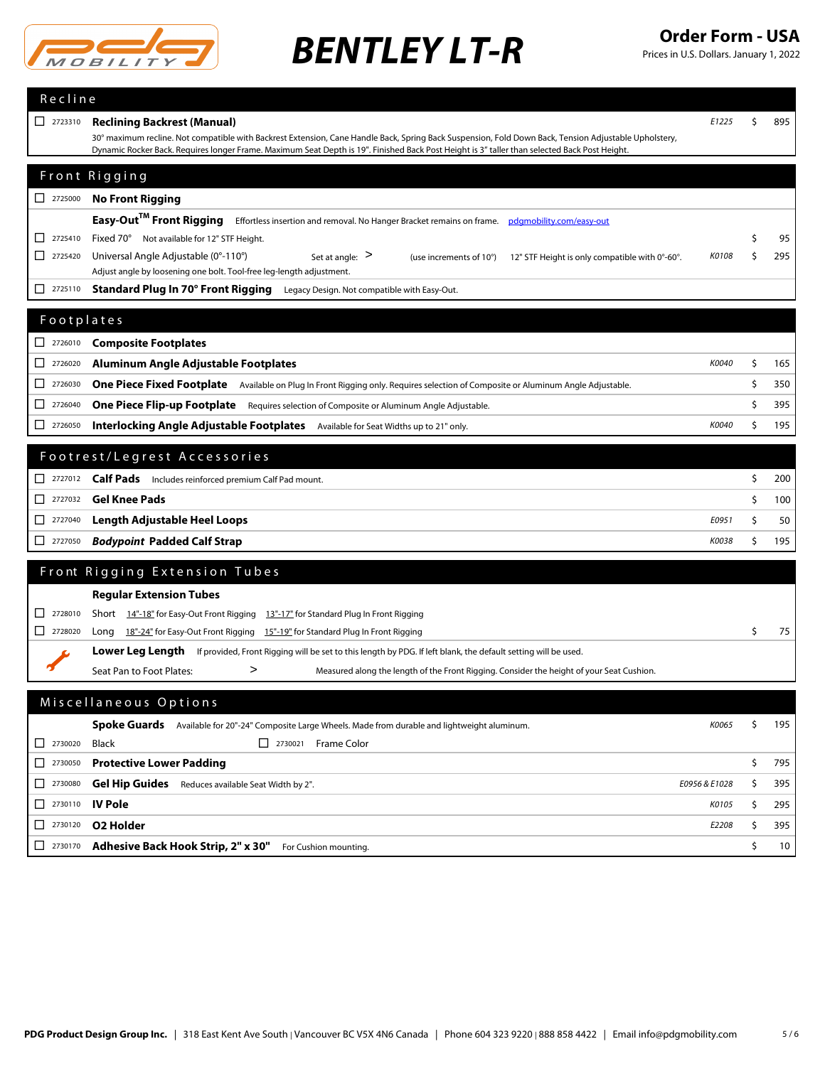

Prices in U.S. Dollars. January 1, 2022

| Recline                                                |                                                                                                                                                                                                                |               |           |
|--------------------------------------------------------|----------------------------------------------------------------------------------------------------------------------------------------------------------------------------------------------------------------|---------------|-----------|
| $\begin{array}{ c c }\n\hline\n2723310\n\end{array}$   | <b>Reclining Backrest (Manual)</b>                                                                                                                                                                             | E1225         | \$<br>895 |
|                                                        | 30° maximum recline. Not compatible with Backrest Extension, Cane Handle Back, Spring Back Suspension, Fold Down Back, Tension Adjustable Upholstery,                                                          |               |           |
|                                                        | Dynamic Rocker Back. Requires longer Frame. Maximum Seat Depth is 19". Finished Back Post Height is 3" taller than selected Back Post Height.                                                                  |               |           |
|                                                        | Front Rigging                                                                                                                                                                                                  |               |           |
| $\begin{array}{ c c c }\n\hline\n2725000\n\end{array}$ | <b>No Front Rigging</b>                                                                                                                                                                                        |               |           |
|                                                        | Easy-Out™ Front Rigging<br>Effortless insertion and removal. No Hanger Bracket remains on frame.<br>pdgmobility.com/easy-out                                                                                   |               |           |
| 2725410<br>ΙI                                          | Fixed 70° Not available for 12" STF Height.                                                                                                                                                                    |               | 95        |
| □<br>2725420                                           | Universal Angle Adjustable (0°-110°)<br>Set at angle: $>$<br>(use increments of 10°)<br>12" STF Height is only compatible with 0°-60°.<br>Adjust angle by loosening one bolt. Tool-free leg-length adjustment. | K0108         | \$<br>295 |
| П<br>2725110                                           | Standard Plug In 70° Front Rigging Legacy Design. Not compatible with Easy-Out.                                                                                                                                |               |           |
|                                                        |                                                                                                                                                                                                                |               |           |
| Footplates                                             |                                                                                                                                                                                                                |               |           |
| $2726010$                                              | <b>Composite Footplates</b>                                                                                                                                                                                    |               |           |
| 2726020<br>П                                           | Aluminum Angle Adjustable Footplates                                                                                                                                                                           | K0040         | \$<br>165 |
| □<br>2726030                                           | One Piece Fixed Footplate Available on Plug In Front Rigging only. Requires selection of Composite or Aluminum Angle Adjustable.                                                                               |               | \$<br>350 |
| □<br>2726040                                           | <b>One Piece Flip-up Footplate</b> Requires selection of Composite or Aluminum Angle Adjustable.                                                                                                               |               | \$<br>395 |
| 2726050<br>П                                           | Interlocking Angle Adjustable Footplates Available for Seat Widths up to 21" only.                                                                                                                             | K0040         | \$<br>195 |
|                                                        | Footrest/Legrest Accessories                                                                                                                                                                                   |               |           |
|                                                        |                                                                                                                                                                                                                |               |           |
|                                                        | <b>Calf Pads</b> Includes reinforced premium Calf Pad mount.                                                                                                                                                   |               | \$<br>200 |
| П<br>2727032                                           | <b>Gel Knee Pads</b>                                                                                                                                                                                           |               | \$<br>100 |
| 2727040<br>ப                                           | Length Adjustable Heel Loops                                                                                                                                                                                   | E0951         | \$<br>50  |
| 2727050<br>ΙI                                          | <b>Bodypoint Padded Calf Strap</b>                                                                                                                                                                             | K0038         | \$<br>195 |
|                                                        | Front Rigging Extension Tubes                                                                                                                                                                                  |               |           |
|                                                        | <b>Regular Extension Tubes</b>                                                                                                                                                                                 |               |           |
| 2728010<br>ΙI                                          | Short 14"-18" for Easy-Out Front Rigging 13"-17" for Standard Plug In Front Rigging                                                                                                                            |               |           |
| 2728020<br>ΙI                                          | Long 18"-24" for Easy-Out Front Rigging 15"-19" for Standard Plug In Front Rigging                                                                                                                             |               | \$<br>75  |
|                                                        | Lower Leg Length If provided, Front Rigging will be set to this length by PDG. If left blank, the default setting will be used.                                                                                |               |           |
|                                                        | Seat Pan to Foot Plates:<br>><br>Measured along the length of the Front Rigging. Consider the height of your Seat Cushion.                                                                                     |               |           |
|                                                        | Miscellaneous Options                                                                                                                                                                                          |               |           |
|                                                        |                                                                                                                                                                                                                |               |           |
| 2730020                                                | Spoke Guards Available for 20"-24" Composite Large Wheels. Made from durable and lightweight aluminum.                                                                                                         | K0065         | \$<br>195 |
| ⊔<br>2730050<br>□                                      | 2730021 Frame Color<br>Black<br><b>Protective Lower Padding</b>                                                                                                                                                |               | \$<br>795 |
| 2730080<br>ப                                           |                                                                                                                                                                                                                | E0956 & E1028 | \$<br>395 |
| 2730110<br>⊔                                           | <b>Gel Hip Guides</b> Reduces available Seat Width by 2".<br><b>IV Pole</b>                                                                                                                                    | K0105         | \$        |
| 2730120                                                | <b>O2 Holder</b>                                                                                                                                                                                               |               | 295       |
| ப<br>2730170<br>ப                                      |                                                                                                                                                                                                                | E2208         | \$<br>395 |
|                                                        | Adhesive Back Hook Strip, 2" x 30"<br>For Cushion mounting.                                                                                                                                                    |               | \$<br>10  |